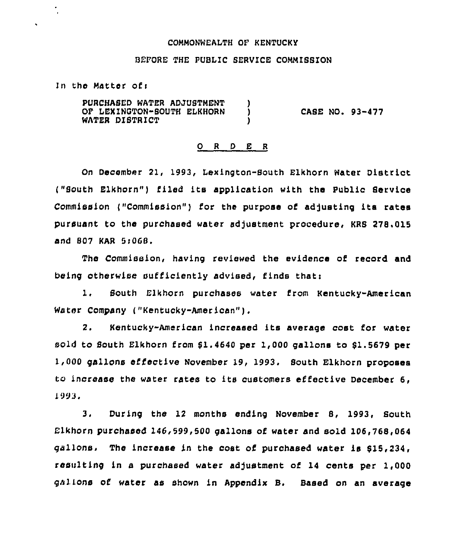## COMMONWEALTH OF KENTUCKY

## BEFORE THE PUBLIC SERVICE COMMISBION

In the Matter of:

.

PURCHASED WATER ADJUSTMENT )<br>OF LEXINGTON-SOUTH ELKHORN ) OF LEXINGTON-SOUTH ELKHORN WATER DISTRICT CASE NO. 93-477

## 0 <sup>R</sup> <sup>D</sup> E <sup>R</sup>

On December 21, 1993, Lexington-Bouth Elkhorn Water District ("South Elkhorn") filed its application with the Public Service Commission ("Commission") for the purpose of adjusting its rates pursuant to the purchased water adjustment procedure, KRS 278.015 and 807 KAR 5i068,

The Commission, having reviewed the evidence of record and being otherwise sufficiently advised, finds that:

i. South Elkhorn purchases water from Kentucky-American Water Company ("Kentucky-American" ),

2. Kentucky-American increased its average cost for water sold to South Elkhorn from  $$1.4640$  per 1,000 gallons to  $$1.5679$  per 1,000 gallons effective November 19, 1993, Bouth Elkhorn proposes to increase the water rates to its customers ef'fective December 6, 1993.

3, During the 12 months ending November 8, 1993, South  $E1$ khorn purchased  $146,599,500$  gallons of water and sold  $106,768,064$ gallons, The increase in the cost of purchased water is \$15,234, resulting in a purchased water adjustment of 14 cents per 1,000 galions of water as shown in Appendix B. Based on an average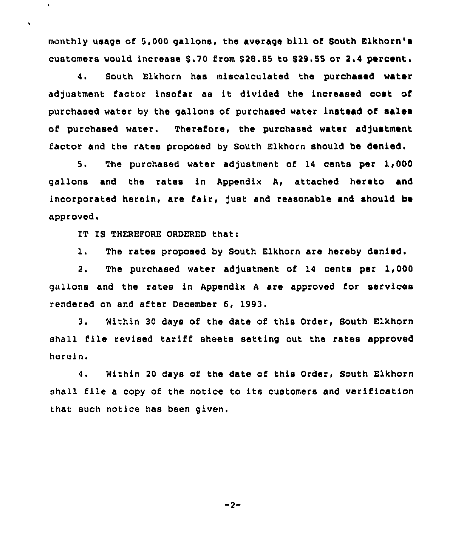monthly usage of 5,000 gallons, the average bill of South Elkhorn' customers would increase \$.70 from \$28.85 to \$29.55 or 2.4 percent.

4. South Elkhorn has miscalculated the purchased water adjustment factor insofar as it divided the increased cost of purchased water by the gallons of purchased water instead of sales of purchased water. Therefore, the purchased water adjustment factor and the rates proposed by South Elkhorn should be denied.

5. The purchased water adjustment of 14 cents per 1,000 gallons and the rates in Appendix A, attached hereto and incorporated herein, are fair, just and reasonable and should be approved.

IT IS THEREFORE ORDERED that:

 $\bullet$ 

 $\hat{\mathbf{v}}$ 

1. The rates proposed by South Elkhorn are hereby denied.

2. The purchased water adjustment of 14 cents per 1,000 gallons and the rates in Appendix <sup>A</sup> are approved for services rendered on and after December 6, 1993.

3. Within <sup>30</sup> days of the date of this Order, South Elkhorn shall file revised tariff sheets setting out the rates approved herein.

4. Within 20 days of the date of this Order, South Elkhorn shall file a copy of the notice to its customers and verification that such notice has been given.

 $-2-$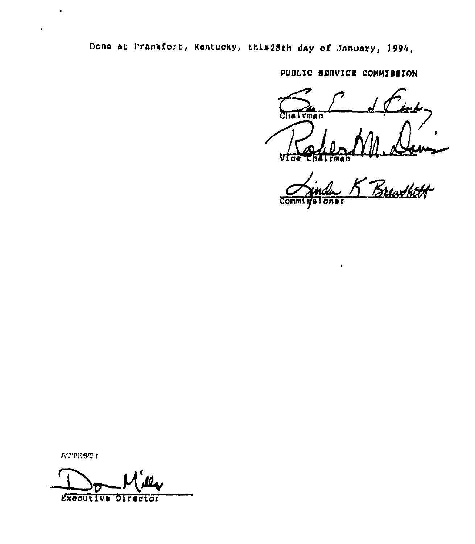Done at Frankfort, Kentucky, this28th day of January, 1994.

PUBLIC SERVICE COMMISSION

 $\overline{\text{Chain}}$ Vias

Brewthth Waloner **Comm1** 

ATTEST:

 $\blacksquare$ 

 $\bar{\mathbf{r}}$ 

Executive Director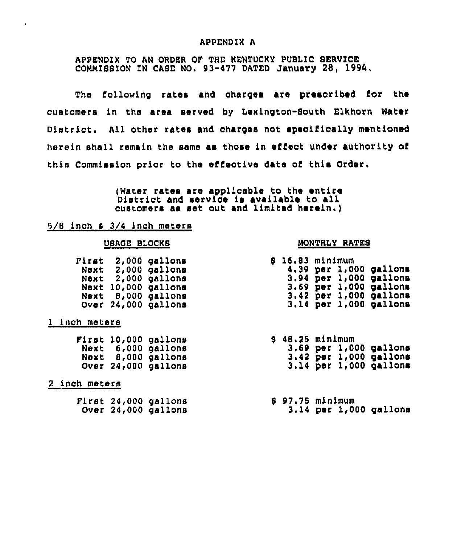## APPENDIX A

# APPENDIX TO AN ORDER OF THE KENTUCKY PUBLIC SERVICE COMMIS8ION IN CASE NO. 93-477 DATED January 28, 1994,

The following rates and charges are presoribed for the customers in the area served by Lexington-South Elkhorn Water District. All other rates and charges not speoifically mentioned herein shall remain the same ae those in effect under authority of this Commission prior to the effective date of this Order.

> (Water rates are applioable to the entire District and servioe is available to all customers as set out and limited herein.)

## $5/8$  inch  $\epsilon$   $3/4$  inch meters

| First | 2,000  | gallons |
|-------|--------|---------|
| Next  | 2,000  | gallons |
| Next  | 2,000  | gallons |
| Next  | 10,000 | gallons |
| Next  | 8,000  | gallons |
| Over  | 24,000 | gallons |
|       |        |         |

## 1 inch meters

 $\ddot{\phantom{0}}$ 

|      |        | Pirst 10,000 gallons |
|------|--------|----------------------|
| Next | 6,000  | gallons              |
| Next |        | 8,000 gallons        |
| Over | 24,000 | gallons              |

# 2 inch meters

| Pirst 24,000 gallons<br>Over 24,000 gallons |
|---------------------------------------------|
|                                             |

# USAGE BLOCKS MONTHLY RATES

|  | \$ 16.83 minimum |  |                        |  |
|--|------------------|--|------------------------|--|
|  |                  |  | 4.39 per 1,000 gallons |  |
|  |                  |  | 3.94 per 1,000 gallons |  |
|  |                  |  | 3.69 per 1,000 gallons |  |
|  |                  |  | 3.42 per 1,000 gallons |  |
|  |                  |  | 3.14 per 1,000 gallons |  |

8 48.25 minimum 3.69 per 1,000 gallons 3.42 per 1,000 gallons 3.14 per 1,000 gallons

### <sup>8</sup> 97.75 minimum 3.14 per 1,000 gallons